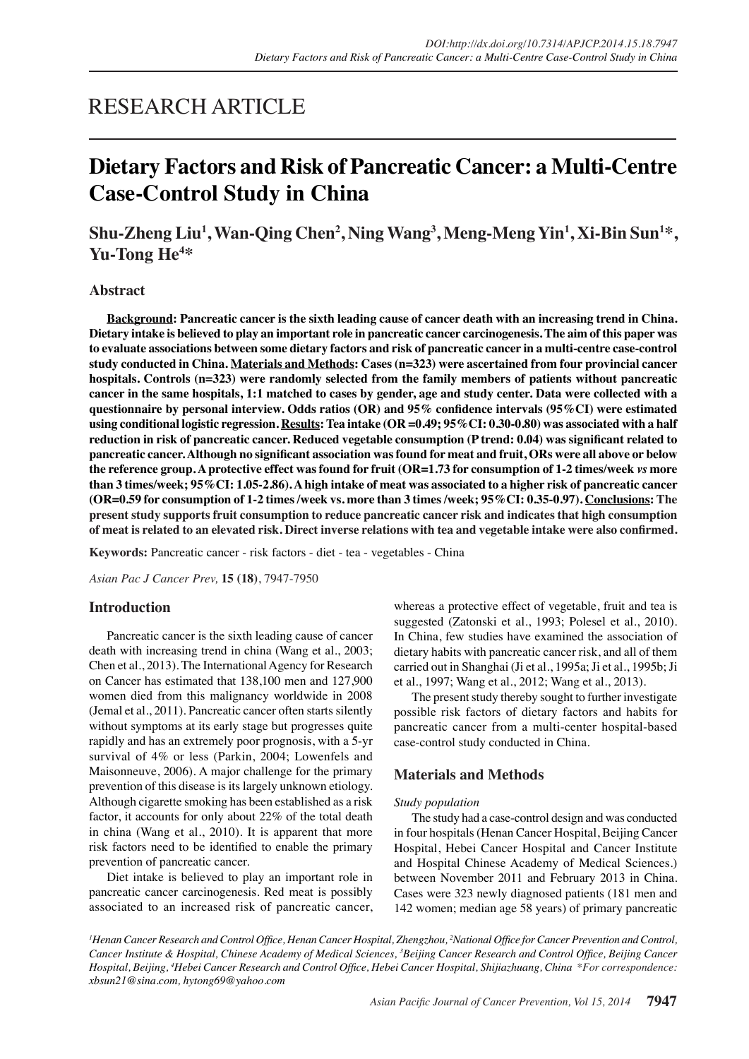## RESEARCH ARTICLE

# **Dietary Factors and Risk of Pancreatic Cancer: a Multi-Centre Case-Control Study in China**

Shu-Zheng Liu<sup>1</sup>, Wan-Qing Chen<sup>2</sup>, Ning Wang<sup>3</sup>, Meng-Meng Yin<sup>1</sup>, Xi-Bin Sun<sup>1\*</sup>, **Yu-Tong He4 \***

## **Abstract**

**Background: Pancreatic cancer is the sixth leading cause of cancer death with an increasing trend in China. Dietary intake is believed to play an important role in pancreatic cancer carcinogenesis. The aim of this paper was to evaluate associations between some dietary factors and risk of pancreatic cancer in a multi-centre case-control study conducted in China. Materials and Methods: Cases (n=323) were ascertained from four provincial cancer hospitals. Controls (n=323) were randomly selected from the family members of patients without pancreatic cancer in the same hospitals, 1:1 matched to cases by gender, age and study center. Data were collected with a questionnaire by personal interview. Odds ratios (OR) and 95% confidence intervals (95%CI) were estimated using conditional logistic regression. Results: Tea intake (OR =0.49; 95%CI: 0.30-0.80) was associated with a half reduction in risk of pancreatic cancer. Reduced vegetable consumption (P trend: 0.04) was significant related to pancreatic cancer. Although no significant association was found for meat and fruit, ORs were all above or below the reference group. A protective effect was found for fruit (OR=1.73 for consumption of 1-2 times/week** *vs* **more than 3 times/week; 95%CI: 1.05-2.86). A high intake of meat was associated to a higher risk of pancreatic cancer (OR=0.59 for consumption of 1-2 times /week vs. more than 3 times /week; 95%CI: 0.35-0.97). Conclusions: The present study supports fruit consumption to reduce pancreatic cancer risk and indicates that high consumption of meat is related to an elevated risk. Direct inverse relations with tea and vegetable intake were also confirmed.**

**Keywords:** Pancreatic cancer - risk factors - diet - tea - vegetables - China

*Asian Pac J Cancer Prev,* **15 (18)**, 7947-7950

## **Introduction**

Pancreatic cancer is the sixth leading cause of cancer death with increasing trend in china (Wang et al., 2003; Chen et al., 2013). The International Agency for Research on Cancer has estimated that 138,100 men and 127,900 women died from this malignancy worldwide in 2008 (Jemal et al., 2011). Pancreatic cancer often starts silently without symptoms at its early stage but progresses quite rapidly and has an extremely poor prognosis, with a 5-yr survival of 4% or less (Parkin, 2004; Lowenfels and Maisonneuve, 2006). A major challenge for the primary prevention of this disease is its largely unknown etiology. Although cigarette smoking has been established as a risk factor, it accounts for only about 22% of the total death in china (Wang et al., 2010). It is apparent that more risk factors need to be identified to enable the primary prevention of pancreatic cancer.

Diet intake is believed to play an important role in pancreatic cancer carcinogenesis. Red meat is possibly associated to an increased risk of pancreatic cancer, whereas a protective effect of vegetable, fruit and tea is suggested (Zatonski et al., 1993; Polesel et al., 2010). In China, few studies have examined the association of dietary habits with pancreatic cancer risk, and all of them carried out in Shanghai (Ji et al., 1995a; Ji et al., 1995b; Ji et al., 1997; Wang et al., 2012; Wang et al., 2013).

The present study thereby sought to further investigate possible risk factors of dietary factors and habits for pancreatic cancer from a multi-center hospital-based case-control study conducted in China.

## **Materials and Methods**

#### *Study population*

The study had a case-control design and was conducted in four hospitals (Henan Cancer Hospital, Beijing Cancer Hospital, Hebei Cancer Hospital and Cancer Institute and Hospital Chinese Academy of Medical Sciences.) between November 2011 and February 2013 in China. Cases were 323 newly diagnosed patients (181 men and 142 women; median age 58 years) of primary pancreatic

<sup>1</sup> Henan Cancer Research and Control Office, Henan Cancer Hospital, Zhengzhou, <sup>2</sup>National Office for Cancer Prevention and Control, Cancer Institute & Hospital, Chinese Academy of Medical Sciences, <sup>3</sup>Beijing Cancer Research and Control Office, Beijing Cancer *Hospital, Beijing, <sup>4</sup> Hebei Cancer Research and Control Office, Hebei Cancer Hospital, Shijiazhuang, China \*For correspondence: xbsun21@sina.com, hytong69@yahoo.com*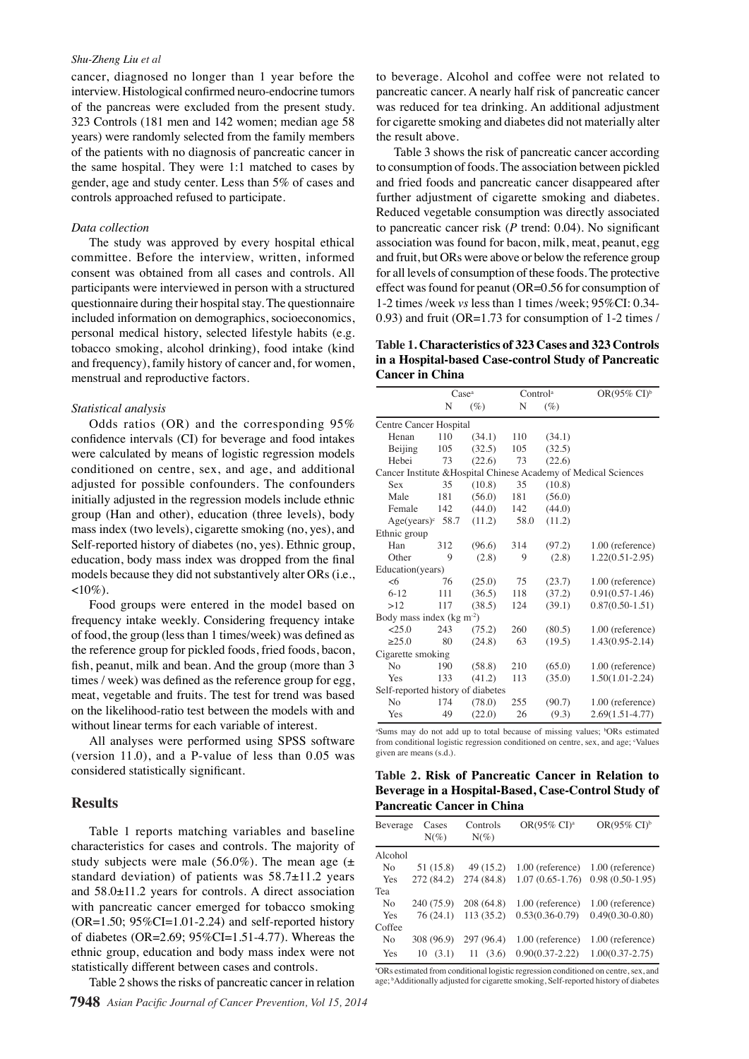#### *Shu-Zheng Liu et al*

cancer, diagnosed no longer than 1 year before the interview. Histological confirmed neuro-endocrine tumors of the pancreas were excluded from the present study. 323 Controls (181 men and 142 women; median age 58 years) were randomly selected from the family members of the patients with no diagnosis of pancreatic cancer in the same hospital. They were 1:1 matched to cases by gender, age and study center. Less than 5% of cases and controls approached refused to participate.

#### *Data collection*

The study was approved by every hospital ethical committee. Before the interview, written, informed consent was obtained from all cases and controls. All participants were interviewed in person with a structured questionnaire during their hospital stay. The questionnaire included information on demographics, socioeconomics, personal medical history, selected lifestyle habits (e.g. tobacco smoking, alcohol drinking), food intake (kind and frequency), family history of cancer and, for women, menstrual and reproductive factors.

#### *Statistical analysis*

Odds ratios (OR) and the corresponding 95% confidence intervals (CI) for beverage and food intakes were calculated by means of logistic regression models conditioned on centre, sex, and age, and additional adjusted for possible confounders. The confounders initially adjusted in the regression models include ethnic group (Han and other), education (three levels), body mass index (two levels), cigarette smoking (no, yes), and Self-reported history of diabetes (no, yes). Ethnic group, education, body mass index was dropped from the final models because they did not substantively alter ORs (i.e.,  $<10\%$ ).

Food groups were entered in the model based on frequency intake weekly. Considering frequency intake of food, the group (less than 1 times/week) was defined as the reference group for pickled foods, fried foods, bacon, fish, peanut, milk and bean. And the group (more than 3 times / week) was defined as the reference group for egg, meat, vegetable and fruits. The test for trend was based on the likelihood-ratio test between the models with and without linear terms for each variable of interest.

All analyses were performed using SPSS software (version 11.0), and a P-value of less than 0.05 was considered statistically significant.

#### **Results**

Table 1 reports matching variables and baseline characteristics for cases and controls. The majority of study subjects were male  $(56.0\%)$ . The mean age  $(\pm$ standard deviation) of patients was 58.7±11.2 years and 58.0±11.2 years for controls. A direct association with pancreatic cancer emerged for tobacco smoking  $(OR=1.50; 95\%CI=1.01-2.24)$  and self-reported history of diabetes (OR=2.69; 95%CI=1.51-4.77). Whereas the ethnic group, education and body mass index were not statistically different between cases and controls.

Table 2 shows the risks of pancreatic cancer in relation

to beverage. Alcohol and coffee were not related to pancreatic cancer. A nearly half risk of pancreatic cancer was reduced for tea drinking. An additional adjustment for cigarette smoking and diabetes did not materially alter the result above.

Table 3 shows the risk of pancreatic cancer according to consumption of foods. The association between pickled and fried foods and pancreatic cancer disappeared after further adjustment of cigarette smoking and diabetes. Reduced vegetable consumption was directly associated to pancreatic cancer risk (*P* trend: 0.04). No significant association was found for bacon, milk, meat, peanut, egg and fruit, but ORs were above or below the reference group for all levels of consumption of these foods. The protective effect was found for peanut (OR=0.56 for consumption of 1-2 times /week *vs* less than 1 times /week; 95%CI: 0.34- 0.93) and fruit (OR=1.73 for consumption of 1-2 times /

**Table 1. Characteristics of 323 Cases and 323 Controls in a Hospital-based Case-control Study of Pancreatic Cancer in China**

|                                                                 |                           | Case <sup>a</sup> |      | Control <sup>a</sup> | OR(95% $CI$ <sup>b</sup> |  |  |  |  |
|-----------------------------------------------------------------|---------------------------|-------------------|------|----------------------|--------------------------|--|--|--|--|
|                                                                 | N                         | $(\%)$            | N    | $(\%)$               |                          |  |  |  |  |
| Centre Cancer Hospital                                          |                           |                   |      |                      |                          |  |  |  |  |
| Henan                                                           | 110                       | (34.1)            | 110  | (34.1)               |                          |  |  |  |  |
| Beijing                                                         | 105                       | (32.5)            | 105  | (32.5)               |                          |  |  |  |  |
| Hebei                                                           | 73                        | (22.6)            | 73   | (22.6)               |                          |  |  |  |  |
| Cancer Institute & Hospital Chinese Academy of Medical Sciences |                           |                   |      |                      |                          |  |  |  |  |
| Sex                                                             | 35                        | (10.8)            | 35   | (10.8)               |                          |  |  |  |  |
| Male                                                            | 181                       | (56.0)            | 181  | (56.0)               |                          |  |  |  |  |
| Female                                                          | 142                       | (44.0)            | 142  | (44.0)               |                          |  |  |  |  |
| $Age(years)^c$                                                  | 58.7                      | (11.2)            | 58.0 | (11.2)               |                          |  |  |  |  |
| Ethnic group                                                    |                           |                   |      |                      |                          |  |  |  |  |
| Han                                                             | 312                       | (96.6)            | 314  | (97.2)               | 1.00 (reference)         |  |  |  |  |
| Other                                                           | 9                         | (2.8)             | 9    | (2.8)                | $1.22(0.51 - 2.95)$      |  |  |  |  |
| Education(years)                                                |                           |                   |      |                      |                          |  |  |  |  |
| -6                                                              | 76                        | (25.0)            | 75   | (23.7)               | 1.00 (reference)         |  |  |  |  |
| $6 - 12$                                                        | 111                       | (36.5)            | 118  | (37.2)               | $0.91(0.57 - 1.46)$      |  |  |  |  |
| >12                                                             | 117                       | (38.5)            | 124  | (39.1)               | $0.87(0.50 - 1.51)$      |  |  |  |  |
|                                                                 | Body mass index $(kg m2)$ |                   |      |                      |                          |  |  |  |  |
| 25.0                                                            | 243                       | (75.2)            | 260  | (80.5)               | 1.00 (reference)         |  |  |  |  |
| >25.0                                                           | 80                        | (24.8)            | 63   | (19.5)               | $1.43(0.95 - 2.14)$      |  |  |  |  |
| Cigarette smoking                                               |                           |                   |      |                      |                          |  |  |  |  |
| N <sub>0</sub>                                                  | 190                       | (58.8)            | 210  | (65.0)               | 1.00 (reference)         |  |  |  |  |
| Yes                                                             | 133                       | (41.2)            | 113  | (35.0)               | $1.50(1.01-2.24)$        |  |  |  |  |
| Self-reported history of diabetes                               |                           |                   |      |                      |                          |  |  |  |  |
| N <sub>0</sub>                                                  | 174                       | (78.0)            | 255  | (90.7)               | 1.00 (reference)         |  |  |  |  |
| Yes                                                             | 49                        | (22.0)            | 26   | (9.3)                | $2.69(1.51 - 4.77)$      |  |  |  |  |

<sup>a</sup>Sums may do not add up to total because of missing values; <sup>b</sup>ORs estimated from conditional logistic regression conditioned on centre, sex, and age; Values given are means (s.d.).

**Table 2. Risk of Pancreatic Cancer in Relation to Beverage in a Hospital-Based, Case-Control Study of Pancreatic Cancer in China**

| Beverage       | Cases<br>$N(\%)$ | Controls<br>$N(\%)$ | OR(95% CI) <sup>a</sup> | OR(95% $CI$ <sup>b</sup> |
|----------------|------------------|---------------------|-------------------------|--------------------------|
| Alcohol        |                  |                     |                         |                          |
| N <sub>0</sub> | 51 (15.8)        | 49 (15.2)           | 1.00 (reference)        | 1.00 (reference)         |
| Yes            | 272 (84.2)       | 274 (84.8)          | $1.07(0.65-1.76)$       | $0.98(0.50-1.95)$        |
| Tea            |                  |                     |                         |                          |
| No             | 240 (75.9)       | 208 (64.8)          | 1.00 (reference)        | 1.00 (reference)         |
| Yes            | 76(24.1)         | 113(35.2)           | $0.53(0.36-0.79)$       | $0.49(0.30-0.80)$        |
| Coffee         |                  |                     |                         |                          |
| No             | 308 (96.9)       | 297 (96.4)          | 1.00 (reference)        | 1.00 (reference)         |
| Yes            | 10<br>(3.1)      | 11<br>(3.6)         | $0.90(0.37 - 2.22)$     | $1.00(0.37 - 2.75)$      |

<sup>a</sup>ORs estimated from conditional logistic regression conditioned on centre, sex, and age; <sup>b</sup>Additionally adjusted for cigarette smoking, Self-reported history of diabetes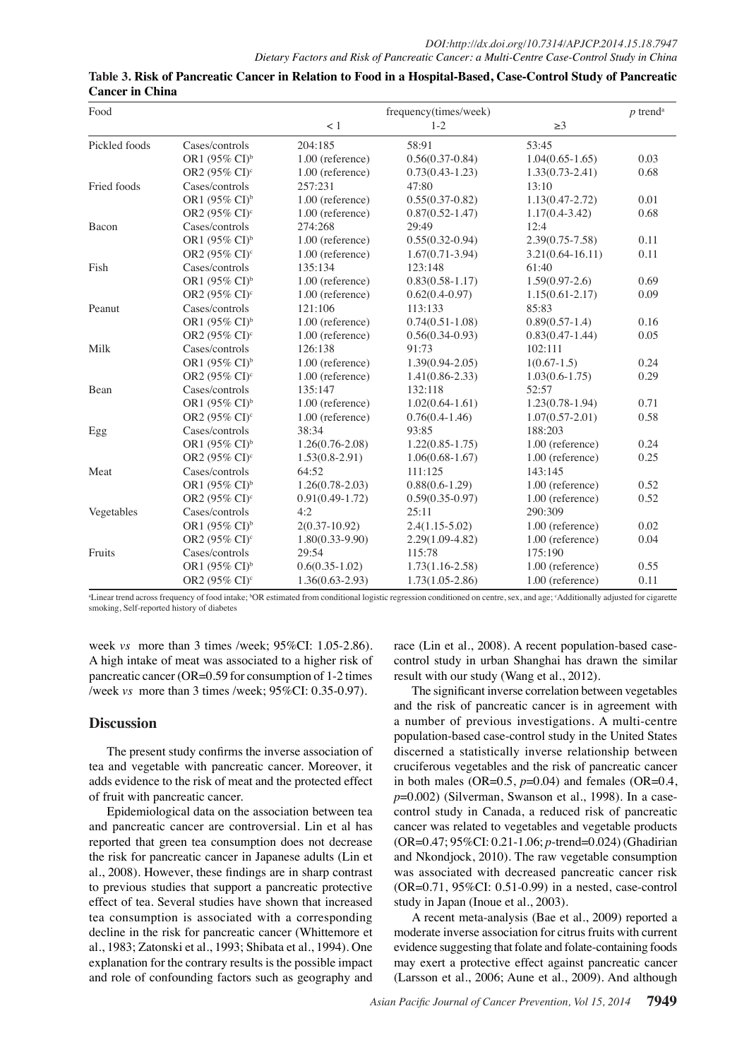| Food          |                           |                     | frequency(times/week) |                      | $p$ trend <sup>a</sup> |
|---------------|---------------------------|---------------------|-----------------------|----------------------|------------------------|
|               |                           | < 1                 | $1 - 2$               | $\geq$ 3             |                        |
| Pickled foods | Cases/controls            | 204:185             | 58:91                 | 53:45                |                        |
|               | OR1 (95% CI) <sup>b</sup> | 1.00 (reference)    | $0.56(0.37-0.84)$     | $1.04(0.65-1.65)$    | 0.03                   |
|               | OR2 (95% CI) <sup>c</sup> | 1.00 (reference)    | $0.73(0.43 - 1.23)$   | $1.33(0.73 - 2.41)$  | 0.68                   |
| Fried foods   | Cases/controls            | 257:231             | 47:80                 | 13:10                |                        |
|               | OR1 (95% CI) <sup>b</sup> | 1.00 (reference)    | $0.55(0.37-0.82)$     | $1.13(0.47 - 2.72)$  | 0.01                   |
|               | OR2 (95% CI) <sup>c</sup> | 1.00 (reference)    | $0.87(0.52 - 1.47)$   | $1.17(0.4-3.42)$     | 0.68                   |
| Bacon         | Cases/controls            | 274:268             | 29:49                 | 12:4                 |                        |
|               | OR1 (95% CI) <sup>b</sup> | 1.00 (reference)    | $0.55(0.32-0.94)$     | $2.39(0.75 - 7.58)$  | 0.11                   |
|               | OR2 (95% CI) <sup>c</sup> | 1.00 (reference)    | $1.67(0.71-3.94)$     | $3.21(0.64 - 16.11)$ | 0.11                   |
| Fish          | Cases/controls            | 135:134             | 123:148               | 61:40                |                        |
|               | OR1 (95% CI) <sup>b</sup> | 1.00 (reference)    | $0.83(0.58 - 1.17)$   | $1.59(0.97-2.6)$     | 0.69                   |
|               | OR2 $(95\% \text{ CI})^c$ | 1.00 (reference)    | $0.62(0.4-0.97)$      | $1.15(0.61 - 2.17)$  | 0.09                   |
| Peanut        | Cases/controls            | 121:106             | 113:133               | 85:83                |                        |
|               | OR1 (95% CI) <sup>b</sup> | 1.00 (reference)    | $0.74(0.51-1.08)$     | $0.89(0.57-1.4)$     | 0.16                   |
|               | OR2 (95% CI) <sup>c</sup> | 1.00 (reference)    | $0.56(0.34-0.93)$     | $0.83(0.47-1.44)$    | 0.05                   |
| Milk          | Cases/controls            | 126:138             | 91:73                 | 102:111              |                        |
|               | OR1 (95% CI) <sup>b</sup> | 1.00 (reference)    | $1.39(0.94 - 2.05)$   | $1(0.67-1.5)$        | 0.24                   |
|               | OR2 (95% CI) <sup>c</sup> | 1.00 (reference)    | $1.41(0.86 - 2.33)$   | $1.03(0.6-1.75)$     | 0.29                   |
| Bean          | Cases/controls            | 135:147             | 132:118               | 52:57                |                        |
|               | OR1 (95% CI) <sup>b</sup> | 1.00 (reference)    | $1.02(0.64-1.61)$     | $1.23(0.78-1.94)$    | 0.71                   |
|               | OR2 (95% CI) <sup>c</sup> | 1.00 (reference)    | $0.76(0.4-1.46)$      | $1.07(0.57 - 2.01)$  | 0.58                   |
| Egg           | Cases/controls            | 38:34               | 93:85                 | 188:203              |                        |
|               | OR1 (95% CI) <sup>b</sup> | $1.26(0.76-2.08)$   | $1.22(0.85 - 1.75)$   | 1.00 (reference)     | 0.24                   |
|               | OR2 (95% CI) <sup>c</sup> | $1.53(0.8-2.91)$    | $1.06(0.68-1.67)$     | 1.00 (reference)     | 0.25                   |
| Meat          | Cases/controls            | 64:52               | 111:125               | 143:145              |                        |
|               | OR1 (95% CI) <sup>b</sup> | $1.26(0.78-2.03)$   | $0.88(0.6-1.29)$      | 1.00 (reference)     | 0.52                   |
|               | OR2 (95% CI) <sup>c</sup> | $0.91(0.49-1.72)$   | $0.59(0.35-0.97)$     | 1.00 (reference)     | 0.52                   |
| Vegetables    | Cases/controls            | 4:2                 | 25:11                 | 290:309              |                        |
|               | OR1 $(95\% \text{ CI})^b$ | $2(0.37-10.92)$     | $2.4(1.15-5.02)$      | 1.00 (reference)     | 0.02                   |
|               | OR2 (95% CI) <sup>c</sup> | $1.80(0.33-9.90)$   | $2.29(1.09-4.82)$     | 1.00 (reference)     | 0.04                   |
| Fruits        | Cases/controls            | 29:54               | 115:78                | 175:190              |                        |
|               | OR1 (95% CI) <sup>b</sup> | $0.6(0.35-1.02)$    | $1.73(1.16-2.58)$     | 1.00 (reference)     | 0.55                   |
|               | OR2 (95% CI) <sup>c</sup> | $1.36(0.63 - 2.93)$ | $1.73(1.05-2.86)$     | 1.00 (reference)     | 0.11                   |

## **Table 3. Risk of Pancreatic Cancer in Relation to Food in a Hospital-Based, Case-Control Study of Pancreatic Cancer in China**

<sup>a</sup>Linear trend across frequency of food intake; <sup>6</sup>OR estimated from conditional logistic regression conditioned on centre, sex, and age; <sup>c</sup>Additionally adjusted for cigarette smoking, Self-reported history of diabetes

week *vs* more than 3 times /week; 95%CI: 1.05-2.86). A high intake of meat was associated to a higher risk of pancreatic cancer (OR=0.59 for consumption of 1-2 times /week *vs* more than 3 times /week; 95%CI: 0.35-0.97).

## **Discussion**

The present study confirms the inverse association of tea and vegetable with pancreatic cancer. Moreover, it adds evidence to the risk of meat and the protected effect of fruit with pancreatic cancer.

Epidemiological data on the association between tea and pancreatic cancer are controversial. Lin et al has reported that green tea consumption does not decrease the risk for pancreatic cancer in Japanese adults (Lin et al., 2008). However, these findings are in sharp contrast to previous studies that support a pancreatic protective effect of tea. Several studies have shown that increased tea consumption is associated with a corresponding decline in the risk for pancreatic cancer (Whittemore et al., 1983; Zatonski et al., 1993; Shibata et al., 1994). One explanation for the contrary results is the possible impact and role of confounding factors such as geography and

race (Lin et al., 2008). A recent population-based casecontrol study in urban Shanghai has drawn the similar result with our study (Wang et al., 2012).

The significant inverse correlation between vegetables and the risk of pancreatic cancer is in agreement with a number of previous investigations. A multi-centre population-based case-control study in the United States discerned a statistically inverse relationship between cruciferous vegetables and the risk of pancreatic cancer in both males (OR= $0.5$ ,  $p=0.04$ ) and females (OR= $0.4$ , *p*=0.002) (Silverman, Swanson et al., 1998). In a casecontrol study in Canada, a reduced risk of pancreatic cancer was related to vegetables and vegetable products (OR=0.47; 95%CI: 0.21-1.06; *p*-trend=0.024) (Ghadirian and Nkondjock, 2010). The raw vegetable consumption was associated with decreased pancreatic cancer risk (OR=0.71, 95%CI: 0.51-0.99) in a nested, case-control study in Japan (Inoue et al., 2003).

A recent meta-analysis (Bae et al., 2009) reported a moderate inverse association for citrus fruits with current evidence suggesting that folate and folate-containing foods may exert a protective effect against pancreatic cancer (Larsson et al., 2006; Aune et al., 2009). And although